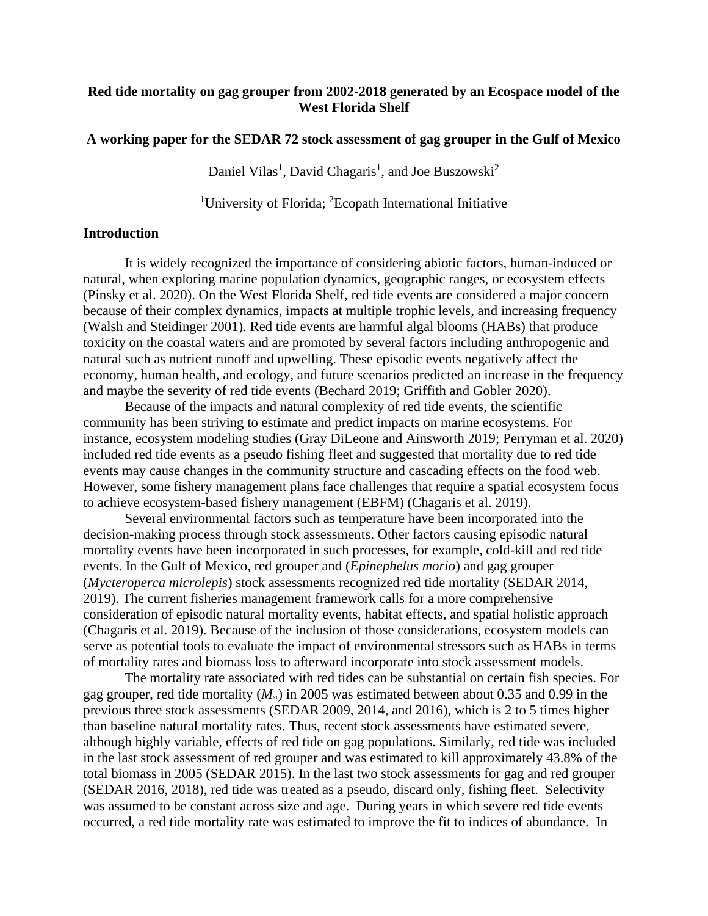## **Red tide mortality on gag grouper from 2002-2018 generated by an Ecospace model of the West Florida Shelf**

#### **A working paper for the SEDAR 72 stock assessment of gag grouper in the Gulf of Mexico**

Daniel Vilas<sup>1</sup>, David Chagaris<sup>1</sup>, and Joe Buszowski<sup>2</sup>

<sup>1</sup>University of Florida; <sup>2</sup>Ecopath International Initiative

#### **Introduction**

It is widely recognized the importance of considering abiotic factors, human-induced or natural, when exploring marine population dynamics, geographic ranges, or ecosystem effects (Pinsky et al. 2020). On the West Florida Shelf, red tide events are considered a major concern because of their complex dynamics, impacts at multiple trophic levels, and increasing frequency (Walsh and Steidinger 2001). Red tide events are harmful algal blooms (HABs) that produce toxicity on the coastal waters and are promoted by several factors including anthropogenic and natural such as nutrient runoff and upwelling. These episodic events negatively affect the economy, human health, and ecology, and future scenarios predicted an increase in the frequency and maybe the severity of red tide events (Bechard 2019; Griffith and Gobler 2020).

Because of the impacts and natural complexity of red tide events, the scientific community has been striving to estimate and predict impacts on marine ecosystems. For instance, ecosystem modeling studies (Gray DiLeone and Ainsworth 2019; Perryman et al. 2020) included red tide events as a pseudo fishing fleet and suggested that mortality due to red tide events may cause changes in the community structure and cascading effects on the food web. However, some fishery management plans face challenges that require a spatial ecosystem focus to achieve ecosystem-based fishery management (EBFM) (Chagaris et al. 2019).

Several environmental factors such as temperature have been incorporated into the decision-making process through stock assessments. Other factors causing episodic natural mortality events have been incorporated in such processes, for example, cold-kill and red tide events. In the Gulf of Mexico, red grouper and (*Epinephelus morio*) and gag grouper (*Mycteroperca microlepis*) stock assessments recognized red tide mortality (SEDAR 2014, 2019). The current fisheries management framework calls for a more comprehensive consideration of episodic natural mortality events, habitat effects, and spatial holistic approach (Chagaris et al. 2019). Because of the inclusion of those considerations, ecosystem models can serve as potential tools to evaluate the impact of environmental stressors such as HABs in terms of mortality rates and biomass loss to afterward incorporate into stock assessment models.

The mortality rate associated with red tides can be substantial on certain fish species. For gag grouper, red tide mortality  $(M_{\rm\scriptscriptstyle RT})$  in 2005 was estimated between about 0.35 and 0.99 in the previous three stock assessments (SEDAR 2009, 2014, and 2016), which is 2 to 5 times higher than baseline natural mortality rates. Thus, recent stock assessments have estimated severe, although highly variable, effects of red tide on gag populations. Similarly, red tide was included in the last stock assessment of red grouper and was estimated to kill approximately 43.8% of the total biomass in 2005 (SEDAR 2015). In the last two stock assessments for gag and red grouper (SEDAR 2016, 2018), red tide was treated as a pseudo, discard only, fishing fleet. Selectivity was assumed to be constant across size and age. During years in which severe red tide events occurred, a red tide mortality rate was estimated to improve the fit to indices of abundance. In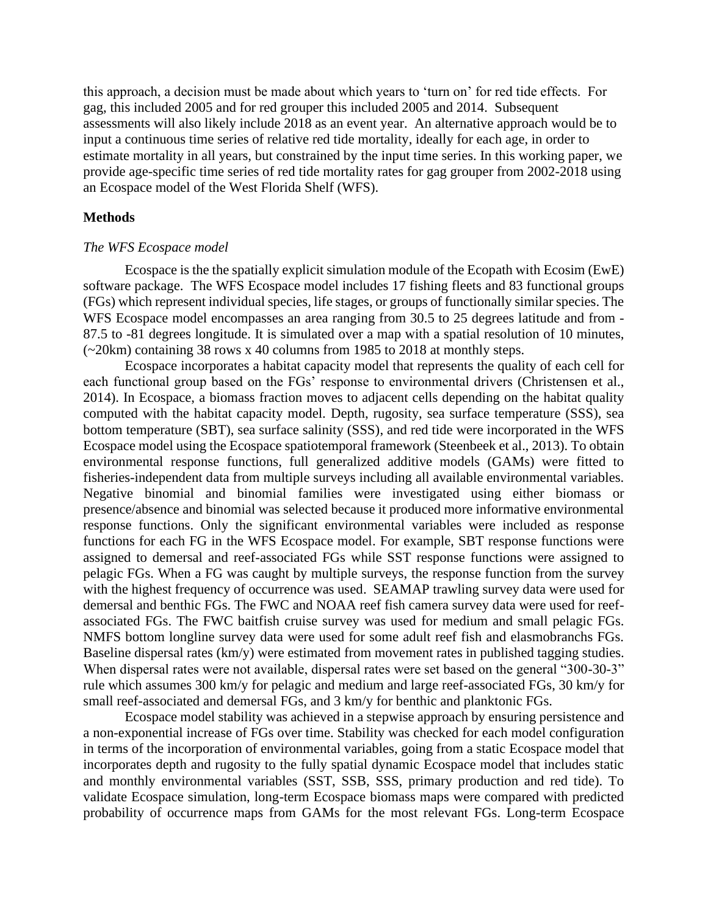this approach, a decision must be made about which years to 'turn on' for red tide effects. For gag, this included 2005 and for red grouper this included 2005 and 2014. Subsequent assessments will also likely include 2018 as an event year. An alternative approach would be to input a continuous time series of relative red tide mortality, ideally for each age, in order to estimate mortality in all years, but constrained by the input time series. In this working paper, we provide age-specific time series of red tide mortality rates for gag grouper from 2002-2018 using an Ecospace model of the West Florida Shelf (WFS).

#### **Methods**

#### *The WFS Ecospace model*

Ecospace is the the spatially explicit simulation module of the Ecopath with Ecosim (EwE) software package. The WFS Ecospace model includes 17 fishing fleets and 83 functional groups (FGs) which represent individual species, life stages, or groups of functionally similar species. The WFS Ecospace model encompasses an area ranging from 30.5 to 25 degrees latitude and from - 87.5 to -81 degrees longitude. It is simulated over a map with a spatial resolution of 10 minutes, (~20km) containing 38 rows x 40 columns from 1985 to 2018 at monthly steps.

Ecospace incorporates a habitat capacity model that represents the quality of each cell for each functional group based on the FGs' response to environmental drivers (Christensen et al., 2014). In Ecospace, a biomass fraction moves to adjacent cells depending on the habitat quality computed with the habitat capacity model. Depth, rugosity, sea surface temperature (SSS), sea bottom temperature (SBT), sea surface salinity (SSS), and red tide were incorporated in the WFS Ecospace model using the Ecospace spatiotemporal framework (Steenbeek et al., 2013). To obtain environmental response functions, full generalized additive models (GAMs) were fitted to fisheries-independent data from multiple surveys including all available environmental variables. Negative binomial and binomial families were investigated using either biomass or presence/absence and binomial was selected because it produced more informative environmental response functions. Only the significant environmental variables were included as response functions for each FG in the WFS Ecospace model. For example, SBT response functions were assigned to demersal and reef-associated FGs while SST response functions were assigned to pelagic FGs. When a FG was caught by multiple surveys, the response function from the survey with the highest frequency of occurrence was used. SEAMAP trawling survey data were used for demersal and benthic FGs. The FWC and NOAA reef fish camera survey data were used for reefassociated FGs. The FWC baitfish cruise survey was used for medium and small pelagic FGs. NMFS bottom longline survey data were used for some adult reef fish and elasmobranchs FGs. Baseline dispersal rates (km/y) were estimated from movement rates in published tagging studies. When dispersal rates were not available, dispersal rates were set based on the general "300-30-3" rule which assumes 300 km/y for pelagic and medium and large reef-associated FGs, 30 km/y for small reef-associated and demersal FGs, and 3 km/y for benthic and planktonic FGs.

Ecospace model stability was achieved in a stepwise approach by ensuring persistence and a non-exponential increase of FGs over time. Stability was checked for each model configuration in terms of the incorporation of environmental variables, going from a static Ecospace model that incorporates depth and rugosity to the fully spatial dynamic Ecospace model that includes static and monthly environmental variables (SST, SSB, SSS, primary production and red tide). To validate Ecospace simulation, long-term Ecospace biomass maps were compared with predicted probability of occurrence maps from GAMs for the most relevant FGs. Long-term Ecospace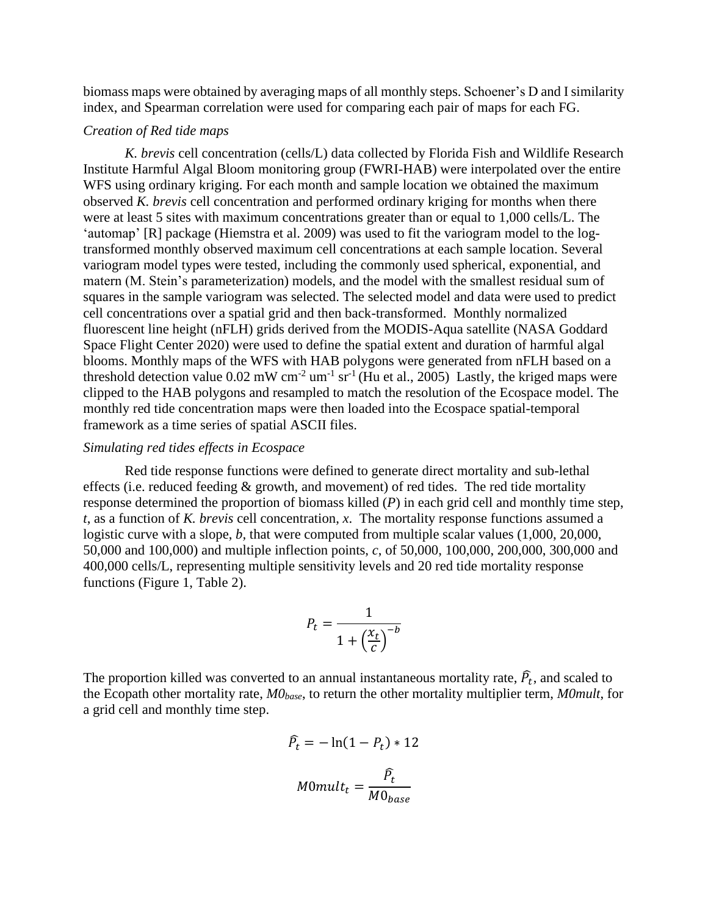biomass maps were obtained by averaging maps of all monthly steps. Schoener's D and I similarity index, and Spearman correlation were used for comparing each pair of maps for each FG.

#### *Creation of Red tide maps*

*K. brevis* cell concentration (cells/L) data collected by Florida Fish and Wildlife Research Institute Harmful Algal Bloom monitoring group (FWRI-HAB) were interpolated over the entire WFS using ordinary kriging. For each month and sample location we obtained the maximum observed *K. brevis* cell concentration and performed ordinary kriging for months when there were at least 5 sites with maximum concentrations greater than or equal to 1,000 cells/L. The 'automap' [R] package (Hiemstra et al. 2009) was used to fit the variogram model to the logtransformed monthly observed maximum cell concentrations at each sample location. Several variogram model types were tested, including the commonly used spherical, exponential, and matern (M. Stein's parameterization) models, and the model with the smallest residual sum of squares in the sample variogram was selected. The selected model and data were used to predict cell concentrations over a spatial grid and then back-transformed. Monthly normalized fluorescent line height (nFLH) grids derived from the MODIS-Aqua satellite (NASA Goddard Space Flight Center 2020) were used to define the spatial extent and duration of harmful algal blooms. Monthly maps of the WFS with HAB polygons were generated from nFLH based on a threshold detection value  $0.02 \text{ mW cm}^{-2}$  um<sup>-1</sup> sr<sup>-1</sup> (Hu et al., 2005) Lastly, the kriged maps were clipped to the HAB polygons and resampled to match the resolution of the Ecospace model. The monthly red tide concentration maps were then loaded into the Ecospace spatial-temporal framework as a time series of spatial ASCII files.

#### *Simulating red tides effects in Ecospace*

Red tide response functions were defined to generate direct mortality and sub-lethal effects (i.e. reduced feeding & growth, and movement) of red tides. The red tide mortality response determined the proportion of biomass killed (*P*) in each grid cell and monthly time step, *t*, as a function of *K. brevis* cell concentration, *x*. The mortality response functions assumed a logistic curve with a slope, *b*, that were computed from multiple scalar values (1,000, 20,000, 50,000 and 100,000) and multiple inflection points, *c*, of 50,000, 100,000, 200,000, 300,000 and 400,000 cells/L, representing multiple sensitivity levels and 20 red tide mortality response functions [\(Figure 1,](#page-8-0) [Table 2\)](#page-6-0).

$$
P_t = \frac{1}{1 + \left(\frac{x_t}{c}\right)^{-b}}
$$

The proportion killed was converted to an annual instantaneous mortality rate,  $\widehat{P}_t$ , and scaled to the Ecopath other mortality rate, *M0base*, to return the other mortality multiplier term, *M0mult*, for a grid cell and monthly time step.

$$
\hat{P}_t = -\ln(1 - P_t) * 12
$$

$$
M0mult_t = \frac{\hat{P}_t}{M0_{base}}
$$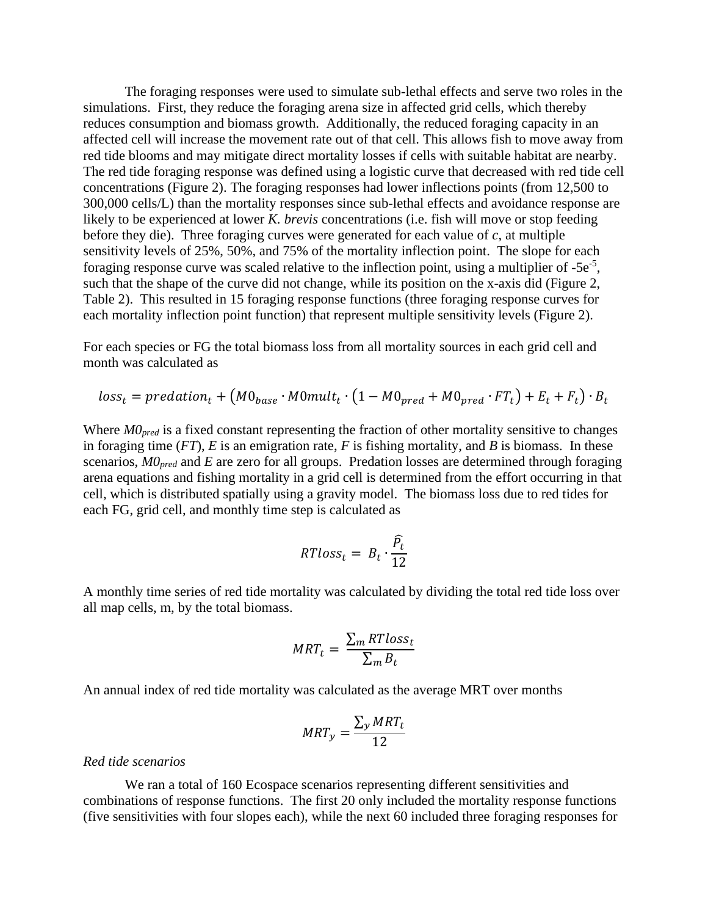The foraging responses were used to simulate sub-lethal effects and serve two roles in the simulations. First, they reduce the foraging arena size in affected grid cells, which thereby reduces consumption and biomass growth. Additionally, the reduced foraging capacity in an affected cell will increase the movement rate out of that cell. This allows fish to move away from red tide blooms and may mitigate direct mortality losses if cells with suitable habitat are nearby. The red tide foraging response was defined using a logistic curve that decreased with red tide cell concentrations [\(Figure 2\)](#page-9-0). The foraging responses had lower inflections points (from 12,500 to 300,000 cells/L) than the mortality responses since sub-lethal effects and avoidance response are likely to be experienced at lower *K. brevis* concentrations (i.e. fish will move or stop feeding before they die). Three foraging curves were generated for each value of *c*, at multiple sensitivity levels of 25%, 50%, and 75% of the mortality inflection point. The slope for each foraging response curve was scaled relative to the inflection point, using a multiplier of  $-5e^{-5}$ , such that the shape of the curve did not change, while its position on the x-axis did [\(Figure 2,](#page-9-0) [Table 2\)](#page-6-0). This resulted in 15 foraging response functions (three foraging response curves for each mortality inflection point function) that represent multiple sensitivity levels [\(Figure 2\)](#page-9-0).

For each species or FG the total biomass loss from all mortality sources in each grid cell and month was calculated as

$$
loss_t = predation_t + (M0_{base} \cdot M0mult_t \cdot (1 - M0_{pred} + M0_{pred} \cdot FT_t) + E_t + F_t) \cdot B_t
$$

Where  $MO_{pred}$  is a fixed constant representing the fraction of other mortality sensitive to changes in foraging time (*FT*), *E* is an emigration rate, *F* is fishing mortality, and *B* is biomass. In these scenarios, *M0pred* and *E* are zero for all groups. Predation losses are determined through foraging arena equations and fishing mortality in a grid cell is determined from the effort occurring in that cell, which is distributed spatially using a gravity model. The biomass loss due to red tides for each FG, grid cell, and monthly time step is calculated as

$$
RTloss_t = B_t \cdot \frac{\widehat{P}_t}{12}
$$

A monthly time series of red tide mortality was calculated by dividing the total red tide loss over all map cells, m, by the total biomass.

$$
MRT_t = \frac{\sum_m RT loss_t}{\sum_m B_t}
$$

An annual index of red tide mortality was calculated as the average MRT over months

$$
MRT_y = \frac{\sum_{y} MRT_t}{12}
$$

#### *Red tide scenarios*

We ran a total of 160 Ecospace scenarios representing different sensitivities and combinations of response functions. The first 20 only included the mortality response functions (five sensitivities with four slopes each), while the next 60 included three foraging responses for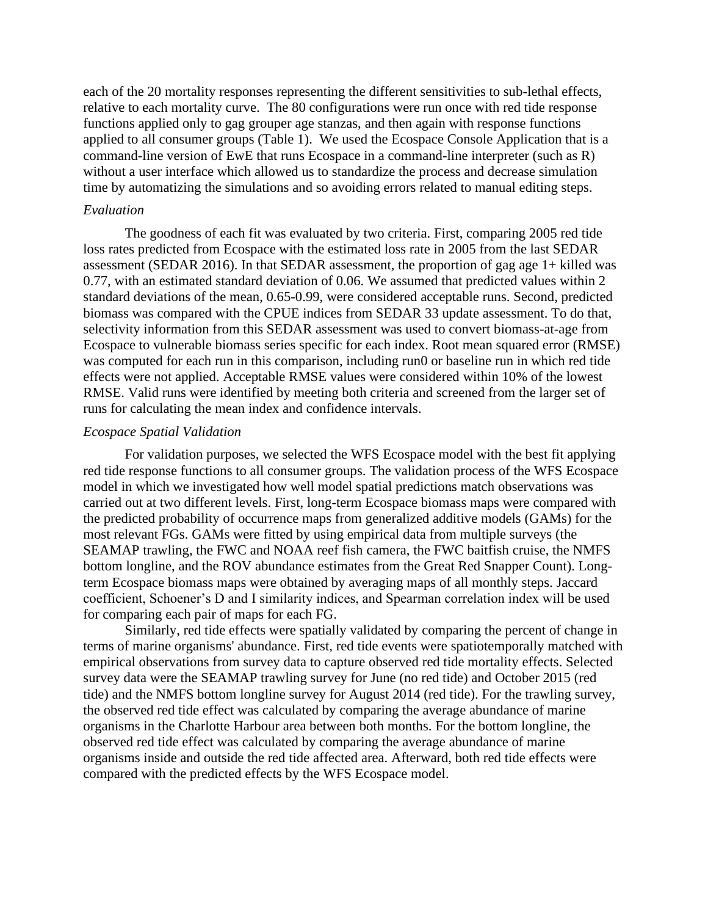each of the 20 mortality responses representing the different sensitivities to sub-lethal effects, relative to each mortality curve. The 80 configurations were run once with red tide response functions applied only to gag grouper age stanzas, and then again with response functions applied to all consumer groups [\(Table 1\)](#page-6-1). We used the Ecospace Console Application that is a command-line version of EwE that runs Ecospace in a command-line interpreter (such as R) without a user interface which allowed us to standardize the process and decrease simulation time by automatizing the simulations and so avoiding errors related to manual editing steps.

### *Evaluation*

The goodness of each fit was evaluated by two criteria. First, comparing 2005 red tide loss rates predicted from Ecospace with the estimated loss rate in 2005 from the last SEDAR assessment (SEDAR 2016). In that SEDAR assessment, the proportion of gag age 1+ killed was 0.77, with an estimated standard deviation of 0.06. We assumed that predicted values within 2 standard deviations of the mean, 0.65-0.99, were considered acceptable runs. Second, predicted biomass was compared with the CPUE indices from SEDAR 33 update assessment. To do that, selectivity information from this SEDAR assessment was used to convert biomass-at-age from Ecospace to vulnerable biomass series specific for each index. Root mean squared error (RMSE) was computed for each run in this comparison, including run0 or baseline run in which red tide effects were not applied. Acceptable RMSE values were considered within 10% of the lowest RMSE. Valid runs were identified by meeting both criteria and screened from the larger set of runs for calculating the mean index and confidence intervals.

#### *Ecospace Spatial Validation*

For validation purposes, we selected the WFS Ecospace model with the best fit applying red tide response functions to all consumer groups. The validation process of the WFS Ecospace model in which we investigated how well model spatial predictions match observations was carried out at two different levels. First, long-term Ecospace biomass maps were compared with the predicted probability of occurrence maps from generalized additive models (GAMs) for the most relevant FGs. GAMs were fitted by using empirical data from multiple surveys (the SEAMAP trawling, the FWC and NOAA reef fish camera, the FWC baitfish cruise, the NMFS bottom longline, and the ROV abundance estimates from the Great Red Snapper Count). Longterm Ecospace biomass maps were obtained by averaging maps of all monthly steps. Jaccard coefficient, Schoener's D and I similarity indices, and Spearman correlation index will be used for comparing each pair of maps for each FG.

Similarly, red tide effects were spatially validated by comparing the percent of change in terms of marine organisms' abundance. First, red tide events were spatiotemporally matched with empirical observations from survey data to capture observed red tide mortality effects. Selected survey data were the SEAMAP trawling survey for June (no red tide) and October 2015 (red tide) and the NMFS bottom longline survey for August 2014 (red tide). For the trawling survey, the observed red tide effect was calculated by comparing the average abundance of marine organisms in the Charlotte Harbour area between both months. For the bottom longline, the observed red tide effect was calculated by comparing the average abundance of marine organisms inside and outside the red tide affected area. Afterward, both red tide effects were compared with the predicted effects by the WFS Ecospace model.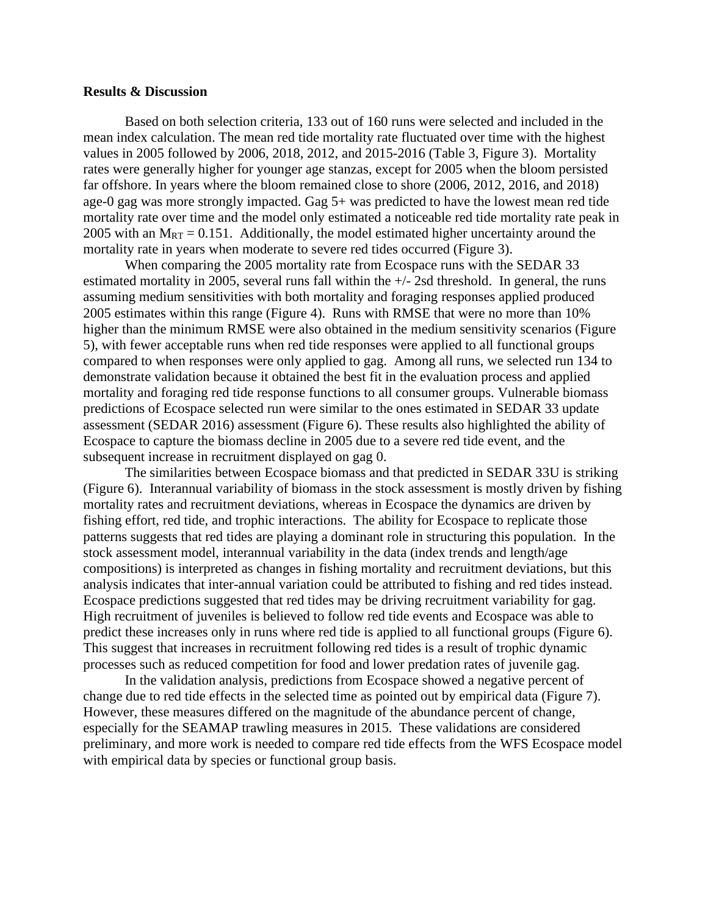#### **Results & Discussion**

Based on both selection criteria, 133 out of 160 runs were selected and included in the mean index calculation. The mean red tide mortality rate fluctuated over time with the highest values in 2005 followed by 2006, 2018, 2012, and 2015-2016 [\(Table 3,](#page-7-0) [Figure 3\)](#page-10-0). Mortality rates were generally higher for younger age stanzas, except for 2005 when the bloom persisted far offshore. In years where the bloom remained close to shore (2006, 2012, 2016, and 2018) age-0 gag was more strongly impacted. Gag 5+ was predicted to have the lowest mean red tide mortality rate over time and the model only estimated a noticeable red tide mortality rate peak in 2005 with an  $M_{RT} = 0.151$ . Additionally, the model estimated higher uncertainty around the mortality rate in years when moderate to severe red tides occurred [\(Figure 3\)](#page-10-0).

When comparing the 2005 mortality rate from Ecospace runs with the SEDAR 33 estimated mortality in 2005, several runs fall within the +/- 2sd threshold. In general, the runs assuming medium sensitivities with both mortality and foraging responses applied produced 2005 estimates within this range [\(Figure 4\)](#page-11-0). Runs with RMSE that were no more than 10% higher than the minimum RMSE were also obtained in the medium sensitivity scenarios [\(Figure](#page-12-0)  [5\)](#page-12-0), with fewer acceptable runs when red tide responses were applied to all functional groups compared to when responses were only applied to gag. Among all runs, we selected run 134 to demonstrate validation because it obtained the best fit in the evaluation process and applied mortality and foraging red tide response functions to all consumer groups. Vulnerable biomass predictions of Ecospace selected run were similar to the ones estimated in SEDAR 33 update assessment (SEDAR 2016) assessment [\(Figure 6\)](#page-13-0). These results also highlighted the ability of Ecospace to capture the biomass decline in 2005 due to a severe red tide event, and the subsequent increase in recruitment displayed on gag 0.

The similarities between Ecospace biomass and that predicted in SEDAR 33U is striking [\(Figure 6\)](#page-13-0). Interannual variability of biomass in the stock assessment is mostly driven by fishing mortality rates and recruitment deviations, whereas in Ecospace the dynamics are driven by fishing effort, red tide, and trophic interactions. The ability for Ecospace to replicate those patterns suggests that red tides are playing a dominant role in structuring this population. In the stock assessment model, interannual variability in the data (index trends and length/age compositions) is interpreted as changes in fishing mortality and recruitment deviations, but this analysis indicates that inter-annual variation could be attributed to fishing and red tides instead. Ecospace predictions suggested that red tides may be driving recruitment variability for gag. High recruitment of juveniles is believed to follow red tide events and Ecospace was able to predict these increases only in runs where red tide is applied to all functional groups [\(Figure 6\)](#page-13-0). This suggest that increases in recruitment following red tides is a result of trophic dynamic processes such as reduced competition for food and lower predation rates of juvenile gag.

In the validation analysis, predictions from Ecospace showed a negative percent of change due to red tide effects in the selected time as pointed out by empirical data [\(Figure 7\)](#page-14-0). However, these measures differed on the magnitude of the abundance percent of change, especially for the SEAMAP trawling measures in 2015. These validations are considered preliminary, and more work is needed to compare red tide effects from the WFS Ecospace model with empirical data by species or functional group basis.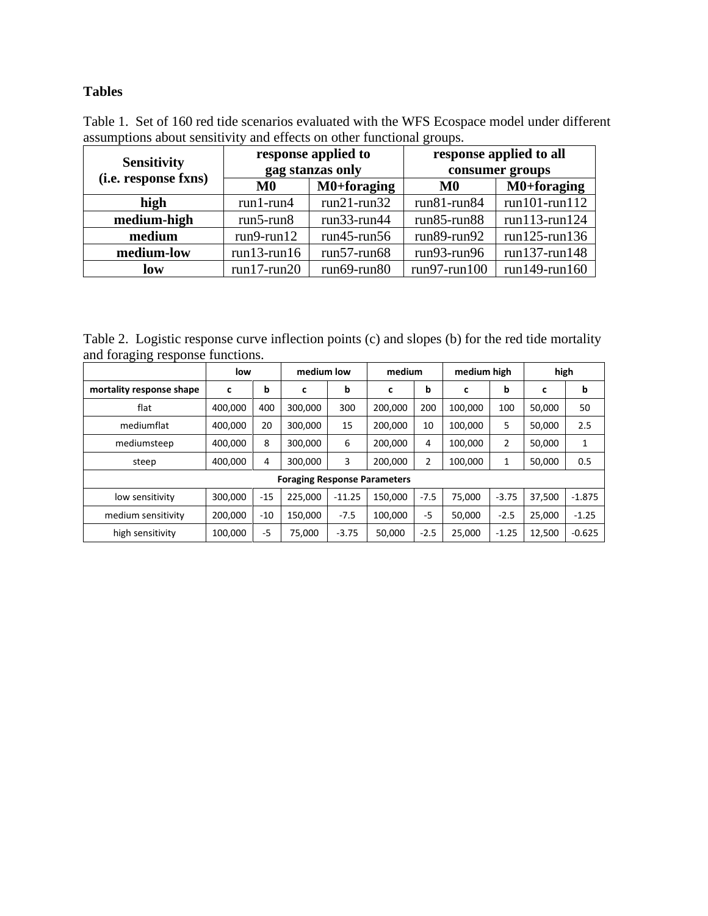## **Tables**

<span id="page-6-1"></span>Table 1. Set of 160 red tide scenarios evaluated with the WFS Ecospace model under different assumptions about sensitivity and effects on other functional groups.

| <b>Sensitivity</b>   |                   | response applied to<br>gag stanzas only | response applied to all<br>consumer groups |                     |  |  |
|----------------------|-------------------|-----------------------------------------|--------------------------------------------|---------------------|--|--|
| (i.e. response fxns) | $\mathbf{M0}$     | M0+foraging                             | M0                                         | $M0+foraging$       |  |  |
| high                 | $run1$ - $run4$   | $run21-run32$                           | $run81$ - $run84$                          | $run101$ - $run112$ |  |  |
| medium-high          | $run5$ -run $8$   | $run33$ - $run44$                       | $run85$ -run $88$                          | $run113$ - $run124$ |  |  |
| medium               | $run9$ -run $12$  | $run45$ -run $56$                       | $run89-run92$                              | $run125$ -run $136$ |  |  |
| medium-low           | $run13$ - $run16$ | $run57$ -run $68$                       | $run93$ - $run96$                          | $run137$ -run $148$ |  |  |
| low                  | $run17-run20$     | $run69$ - $run80$                       | $run97$ -run $100$                         | $run149$ - $run160$ |  |  |

<span id="page-6-0"></span>Table 2. Logistic response curve inflection points (c) and slopes (b) for the red tide mortality and foraging response functions.

| ັ<br>ັ                              | low     |       | medium low |          | medium  |                | medium high |                | high   |          |  |
|-------------------------------------|---------|-------|------------|----------|---------|----------------|-------------|----------------|--------|----------|--|
| mortality response shape            | c       | b     | c          | b        | c       | b              | c           | b              | c      | b        |  |
| flat                                | 400,000 | 400   | 300,000    | 300      | 200,000 | 200            | 100,000     | 100            | 50,000 | 50       |  |
| mediumflat                          | 400.000 | 20    | 300,000    | 15       | 200.000 | 10             | 100,000     | 5              | 50,000 | 2.5      |  |
| mediumsteep                         | 400.000 | 8     | 300.000    | 6        | 200.000 | 4              | 100.000     | $\overline{2}$ | 50,000 | 1        |  |
| steep                               | 400,000 | 4     | 300,000    | 3        | 200,000 | $\overline{2}$ | 100,000     | 1              | 50,000 | 0.5      |  |
| <b>Foraging Response Parameters</b> |         |       |            |          |         |                |             |                |        |          |  |
| low sensitivity                     | 300.000 | $-15$ | 225.000    | $-11.25$ | 150.000 | $-7.5$         | 75.000      | $-3.75$        | 37.500 | $-1.875$ |  |
| medium sensitivity                  | 200.000 | $-10$ | 150.000    | $-7.5$   | 100.000 | $-5$           | 50.000      | $-2.5$         | 25,000 | $-1.25$  |  |
| high sensitivity                    | 100,000 | $-5$  | 75,000     | $-3.75$  | 50,000  | $-2.5$         | 25,000      | $-1.25$        | 12,500 | $-0.625$ |  |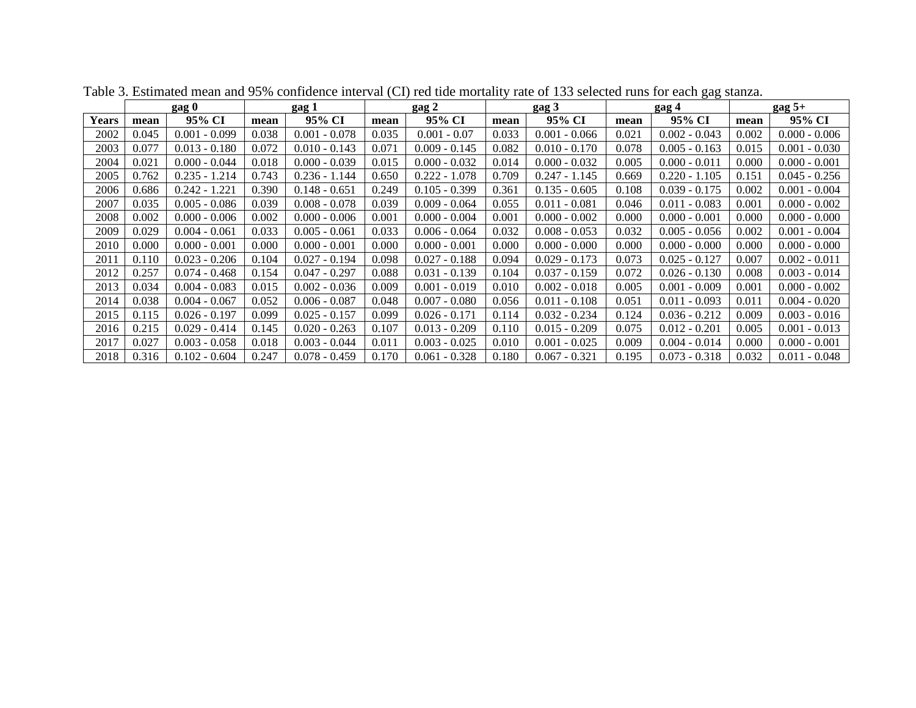<span id="page-7-0"></span>

|       | gag 0 |                 | gag 1 |                 | $_{\rm{gag}}$ 2 |                 | $_{\rm{gag}}$ 3 |                 | gag 4 |                 | $\frac{gag}{g}$ 5+ |                 |
|-------|-------|-----------------|-------|-----------------|-----------------|-----------------|-----------------|-----------------|-------|-----------------|--------------------|-----------------|
| Years | mean  | 95% CI          | mean  | 95% CI          | mean            | 95% CI          | mean            | 95% CI          | mean  | 95% CI          | mean               | 95% CI          |
| 2002  | 0.045 | $0.001 - 0.099$ | 0.038 | $0.001 - 0.078$ | 0.035           | $0.001 - 0.07$  | 0.033           | $0.001 - 0.066$ | 0.021 | $0.002 - 0.043$ | 0.002              | $0.000 - 0.006$ |
| 2003  | 0.077 | $0.013 - 0.180$ | 0.072 | $0.010 - 0.143$ | 0.071           | $0.009 - 0.145$ | 0.082           | $0.010 - 0.170$ | 0.078 | $0.005 - 0.163$ | 0.015              | $0.001 - 0.030$ |
| 2004  | 0.021 | $0.000 - 0.044$ | 0.018 | $0.000 - 0.039$ | 0.015           | $0.000 - 0.032$ | 0.014           | $0.000 - 0.032$ | 0.005 | $0.000 - 0.011$ | 0.000              | $0.000 - 0.001$ |
| 2005  | 0.762 | $0.235 - 1.214$ | 0.743 | $0.236 - 1.144$ | 0.650           | $0.222 - 1.078$ | 0.709           | $0.247 - 1.145$ | 0.669 | $0.220 - 1.105$ | 0.151              | $0.045 - 0.256$ |
| 2006  | 0.686 | $0.242 - 1.221$ | 0.390 | $0.148 - 0.651$ | 0.249           | $0.105 - 0.399$ | 0.361           | $0.135 - 0.605$ | 0.108 | $0.039 - 0.175$ | 0.002              | $0.001 - 0.004$ |
| 2007  | 0.035 | $0.005 - 0.086$ | 0.039 | $0.008 - 0.078$ | 0.039           | $0.009 - 0.064$ | 0.055           | $0.011 - 0.081$ | 0.046 | $0.011 - 0.083$ | 0.001              | $0.000 - 0.002$ |
| 2008  | 0.002 | $0.000 - 0.006$ | 0.002 | $0.000 - 0.006$ | 0.001           | $0.000 - 0.004$ | 0.001           | $0.000 - 0.002$ | 0.000 | $0.000 - 0.001$ | 0.000              | $0.000 - 0.000$ |
| 2009  | 0.029 | $0.004 - 0.061$ | 0.033 | $0.005 - 0.061$ | 0.033           | $0.006 - 0.064$ | 0.032           | $0.008 - 0.053$ | 0.032 | $0.005 - 0.056$ | 0.002              | $0.001 - 0.004$ |
| 2010  | 0.000 | $0.000 - 0.001$ | 0.000 | $0.000 - 0.001$ | 0.000           | $0.000 - 0.001$ | 0.000           | $0.000 - 0.000$ | 0.000 | $0.000 - 0.000$ | 0.000              | $0.000 - 0.000$ |
| 2011  | 0.110 | $0.023 - 0.206$ | 0.104 | $0.027 - 0.194$ | 0.098           | $0.027 - 0.188$ | 0.094           | $0.029 - 0.173$ | 0.073 | $0.025 - 0.127$ | 0.007              | $0.002 - 0.011$ |
| 2012  | 0.257 | $0.074 - 0.468$ | 0.154 | $0.047 - 0.297$ | 0.088           | $0.031 - 0.139$ | 0.104           | $0.037 - 0.159$ | 0.072 | $0.026 - 0.130$ | 0.008              | $0.003 - 0.014$ |
| 2013  | 0.034 | $0.004 - 0.083$ | 0.015 | $0.002 - 0.036$ | 0.009           | $0.001 - 0.019$ | 0.010           | $0.002 - 0.018$ | 0.005 | $0.001 - 0.009$ | 0.001              | $0.000 - 0.002$ |
| 2014  | 0.038 | $0.004 - 0.067$ | 0.052 | $0.006 - 0.087$ | 0.048           | $0.007 - 0.080$ | 0.056           | $0.011 - 0.108$ | 0.051 | $0.011 - 0.093$ | 0.01               | $0.004 - 0.020$ |
| 2015  | 0.115 | $0.026 - 0.197$ | 0.099 | $0.025 - 0.157$ | 0.099           | $0.026 - 0.171$ | 0.114           | $0.032 - 0.234$ | 0.124 | $0.036 - 0.212$ | 0.009              | $0.003 - 0.016$ |
| 2016  | 0.215 | $0.029 - 0.414$ | 0.145 | $0.020 - 0.263$ | 0.107           | $0.013 - 0.209$ | 0.110           | $0.015 - 0.209$ | 0.075 | $0.012 - 0.201$ | 0.005              | $0.001 - 0.013$ |
| 2017  | 0.027 | $0.003 - 0.058$ | 0.018 | $0.003 - 0.044$ | 0.011           | $0.003 - 0.025$ | 0.010           | $0.001 - 0.025$ | 0.009 | $0.004 - 0.014$ | 0.000              | $0.000 - 0.001$ |
| 2018  | 0.316 | $0.102 - 0.604$ | 0.247 | $0.078 - 0.459$ | 0.170           | $0.061 - 0.328$ | 0.180           | $0.067 - 0.321$ | 0.195 | $0.073 - 0.318$ | 0.032              | $0.011 - 0.048$ |

Table 3. Estimated mean and 95% confidence interval (CI) red tide mortality rate of 133 selected runs for each gag stanza.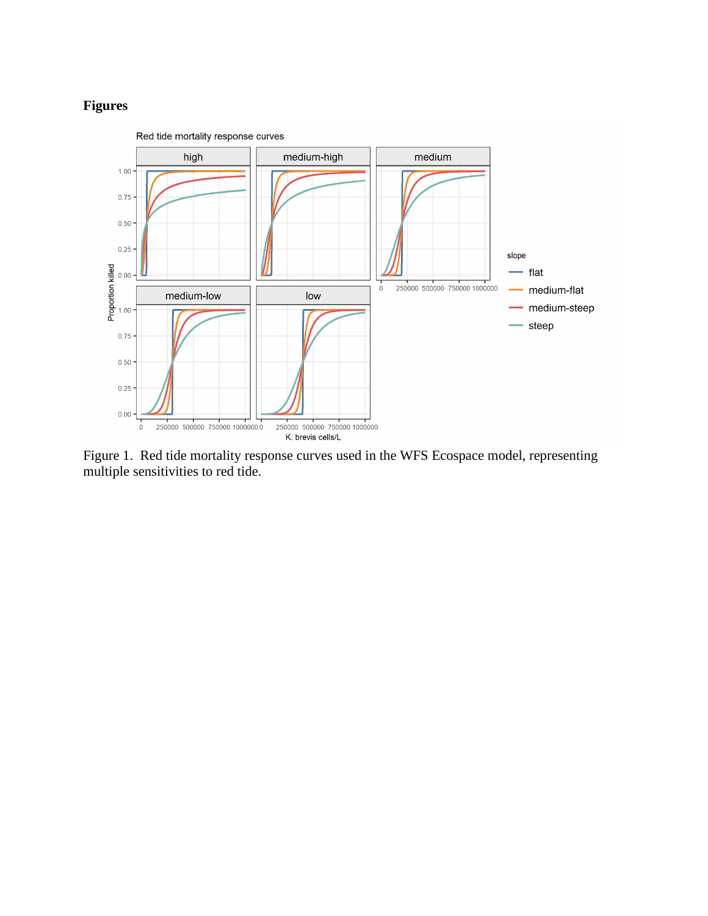# **Figures**



<span id="page-8-0"></span>Figure 1. Red tide mortality response curves used in the WFS Ecospace model, representing multiple sensitivities to red tide.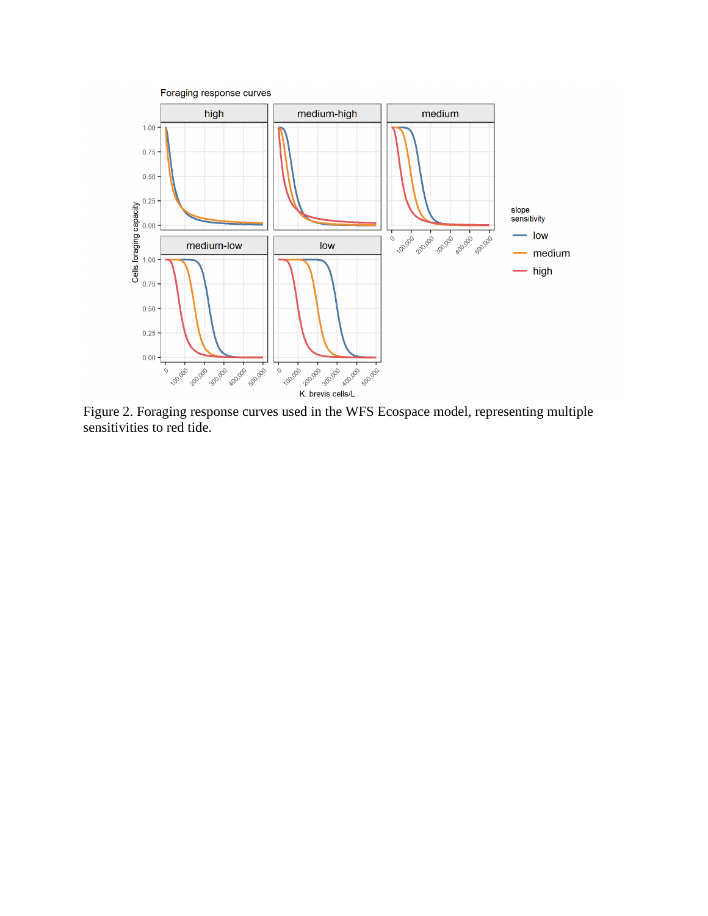

<span id="page-9-0"></span>Figure 2. Foraging response curves used in the WFS Ecospace model, representing multiple sensitivities to red tide.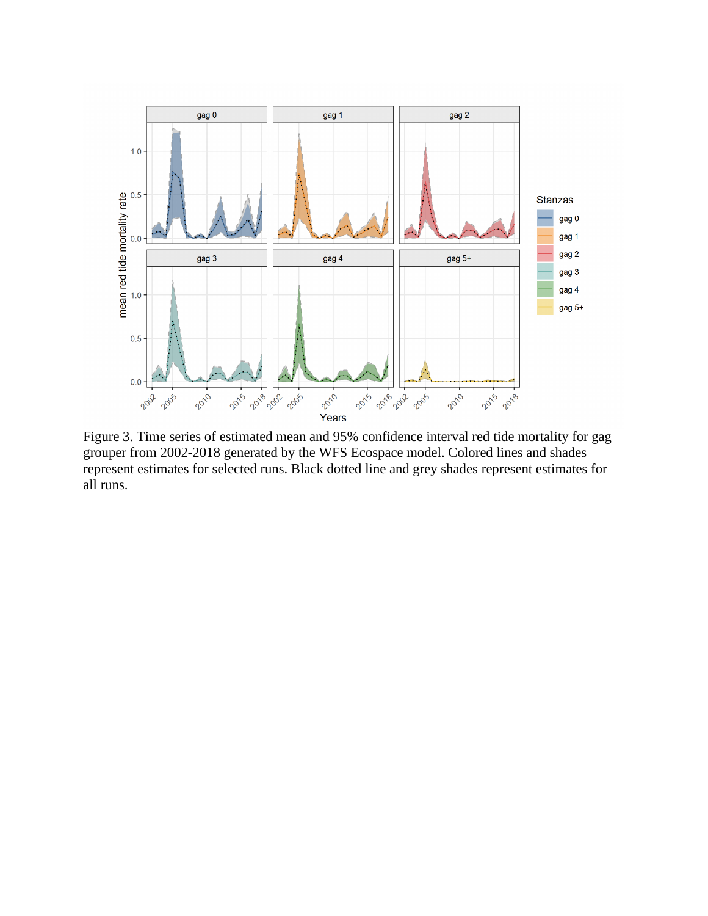

<span id="page-10-0"></span>Figure 3. Time series of estimated mean and 95% confidence interval red tide mortality for gag grouper from 2002-2018 generated by the WFS Ecospace model. Colored lines and shades represent estimates for selected runs. Black dotted line and grey shades represent estimates for all runs.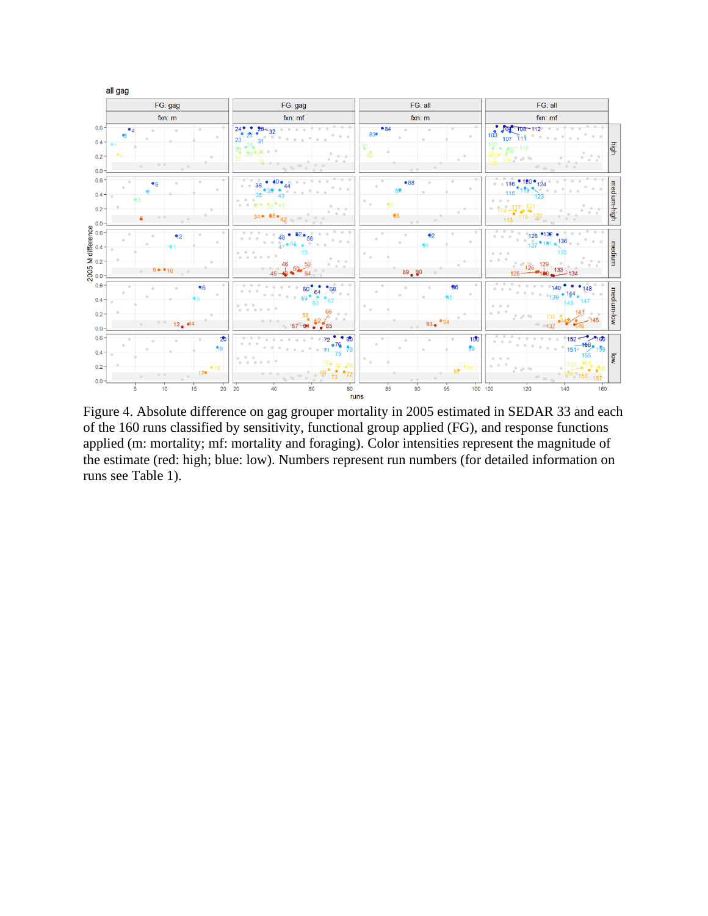

<span id="page-11-0"></span>Figure 4. Absolute difference on gag grouper mortality in 2005 estimated in SEDAR 33 and each of the 160 runs classified by sensitivity, functional group applied (FG), and response functions applied (m: mortality; mf: mortality and foraging). Color intensities represent the magnitude of the estimate (red: high; blue: low). Numbers represent run numbers (for detailed information on runs see Table 1).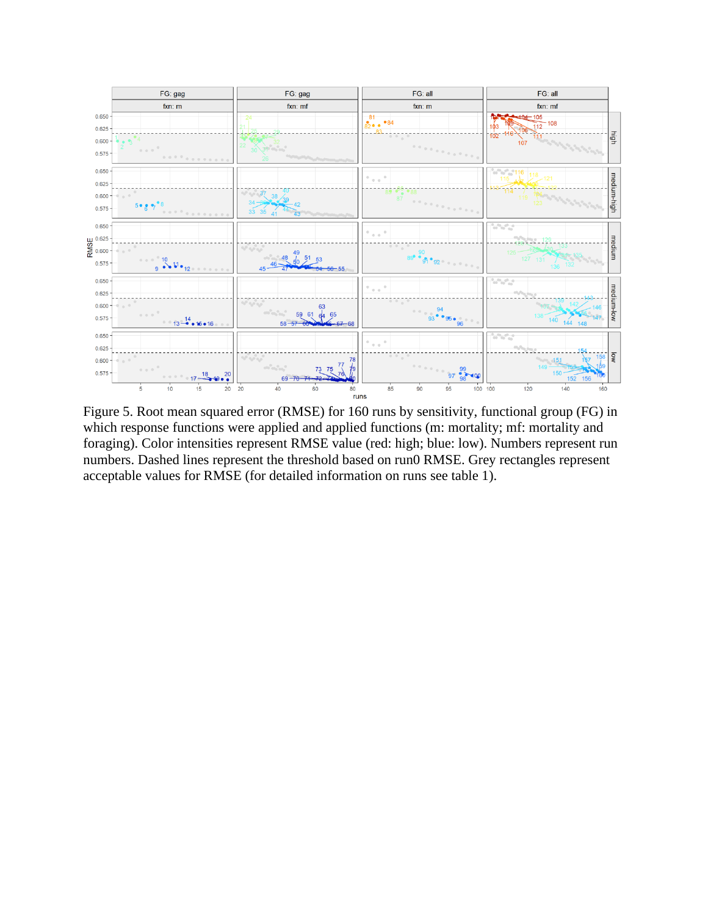

<span id="page-12-0"></span>Figure 5. Root mean squared error (RMSE) for 160 runs by sensitivity, functional group (FG) in which response functions were applied and applied functions (m: mortality; mf: mortality and foraging). Color intensities represent RMSE value (red: high; blue: low). Numbers represent run numbers. Dashed lines represent the threshold based on run0 RMSE. Grey rectangles represent acceptable values for RMSE (for detailed information on runs see table 1).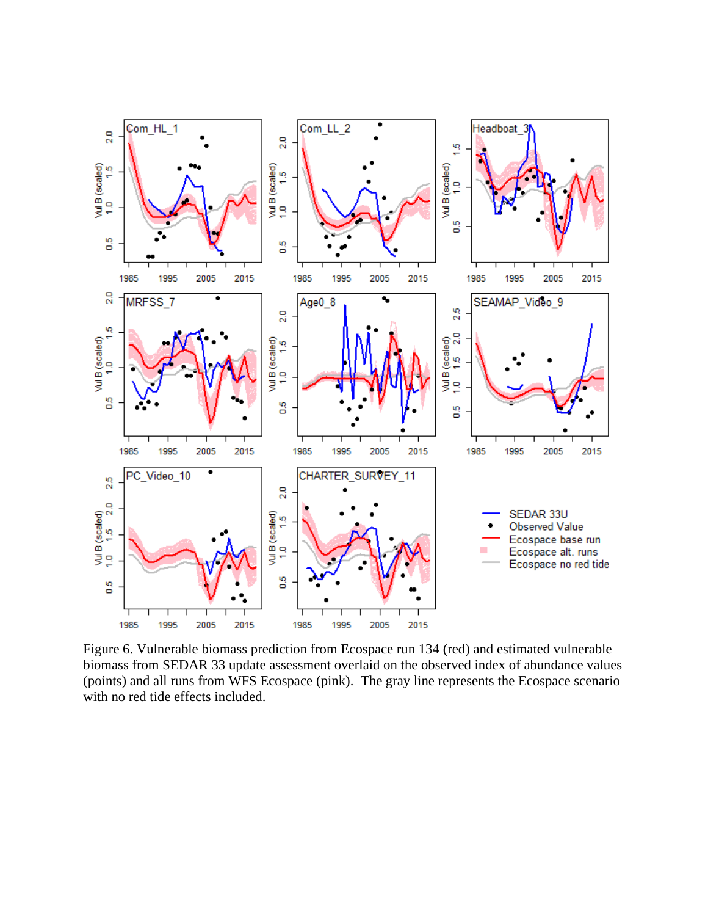

<span id="page-13-0"></span>Figure 6. Vulnerable biomass prediction from Ecospace run 134 (red) and estimated vulnerable biomass from SEDAR 33 update assessment overlaid on the observed index of abundance values (points) and all runs from WFS Ecospace (pink). The gray line represents the Ecospace scenario with no red tide effects included.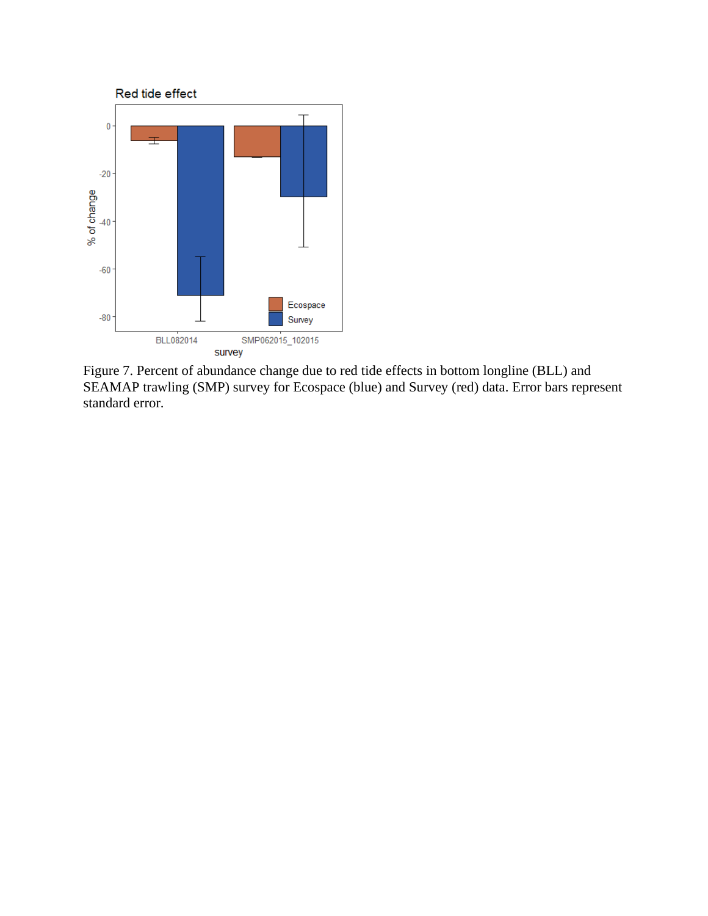

<span id="page-14-0"></span>Figure 7. Percent of abundance change due to red tide effects in bottom longline (BLL) and SEAMAP trawling (SMP) survey for Ecospace (blue) and Survey (red) data. Error bars represent standard error.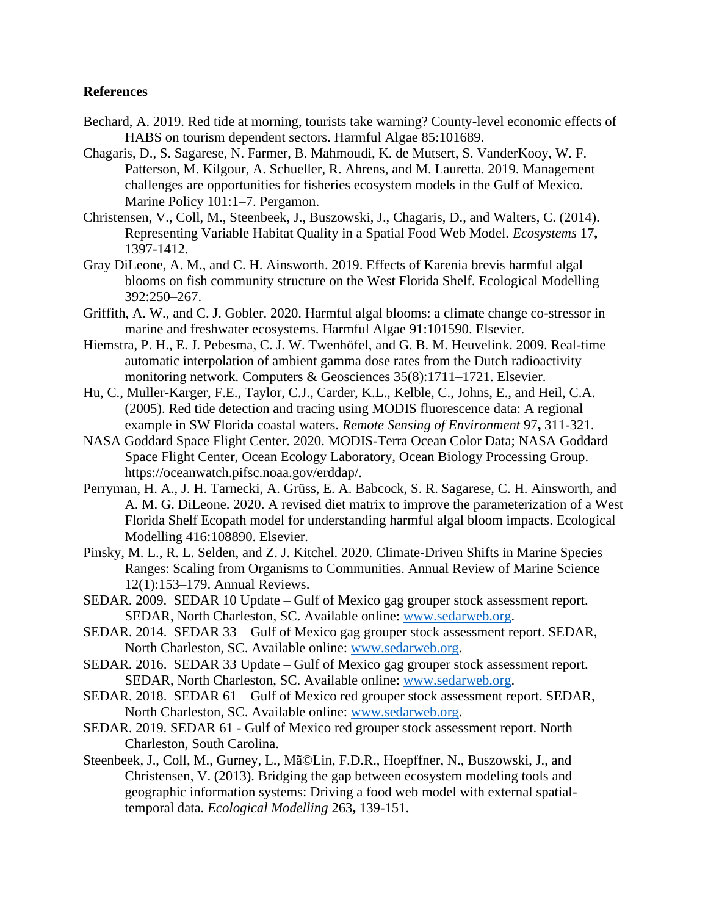## **References**

- Bechard, A. 2019. Red tide at morning, tourists take warning? County-level economic effects of HABS on tourism dependent sectors. Harmful Algae 85:101689.
- Chagaris, D., S. Sagarese, N. Farmer, B. Mahmoudi, K. de Mutsert, S. VanderKooy, W. F. Patterson, M. Kilgour, A. Schueller, R. Ahrens, and M. Lauretta. 2019. Management challenges are opportunities for fisheries ecosystem models in the Gulf of Mexico. Marine Policy 101:1–7. Pergamon.
- Christensen, V., Coll, M., Steenbeek, J., Buszowski, J., Chagaris, D., and Walters, C. (2014). Representing Variable Habitat Quality in a Spatial Food Web Model. *Ecosystems* 17**,** 1397-1412.
- Gray DiLeone, A. M., and C. H. Ainsworth. 2019. Effects of Karenia brevis harmful algal blooms on fish community structure on the West Florida Shelf. Ecological Modelling 392:250–267.
- Griffith, A. W., and C. J. Gobler. 2020. Harmful algal blooms: a climate change co-stressor in marine and freshwater ecosystems. Harmful Algae 91:101590. Elsevier.
- Hiemstra, P. H., E. J. Pebesma, C. J. W. Twenhöfel, and G. B. M. Heuvelink. 2009. Real-time automatic interpolation of ambient gamma dose rates from the Dutch radioactivity monitoring network. Computers & Geosciences 35(8):1711–1721. Elsevier.
- Hu, C., Muller-Karger, F.E., Taylor, C.J., Carder, K.L., Kelble, C., Johns, E., and Heil, C.A. (2005). Red tide detection and tracing using MODIS fluorescence data: A regional example in SW Florida coastal waters. *Remote Sensing of Environment* 97**,** 311-321.
- NASA Goddard Space Flight Center. 2020. MODIS-Terra Ocean Color Data; NASA Goddard Space Flight Center, Ocean Ecology Laboratory, Ocean Biology Processing Group. https://oceanwatch.pifsc.noaa.gov/erddap/.
- Perryman, H. A., J. H. Tarnecki, A. Grüss, E. A. Babcock, S. R. Sagarese, C. H. Ainsworth, and A. M. G. DiLeone. 2020. A revised diet matrix to improve the parameterization of a West Florida Shelf Ecopath model for understanding harmful algal bloom impacts. Ecological Modelling 416:108890. Elsevier.
- Pinsky, M. L., R. L. Selden, and Z. J. Kitchel. 2020. Climate-Driven Shifts in Marine Species Ranges: Scaling from Organisms to Communities. Annual Review of Marine Science 12(1):153–179. Annual Reviews.
- SEDAR. 2009. SEDAR 10 Update Gulf of Mexico gag grouper stock assessment report. SEDAR, North Charleston, SC. Available online: [www.sedarweb.org.](http://www.sedarweb.org/)
- SEDAR. 2014. SEDAR 33 Gulf of Mexico gag grouper stock assessment report. SEDAR, North Charleston, SC. Available online: [www.sedarweb.org.](http://www.sedarweb.org/)
- SEDAR. 2016. SEDAR 33 Update Gulf of Mexico gag grouper stock assessment report. SEDAR, North Charleston, SC. Available online: [www.sedarweb.org.](http://www.sedarweb.org/)
- SEDAR. 2018. SEDAR 61 Gulf of Mexico red grouper stock assessment report. SEDAR, North Charleston, SC. Available online: [www.sedarweb.org.](http://www.sedarweb.org/)
- SEDAR. 2019. SEDAR 61 Gulf of Mexico red grouper stock assessment report. North Charleston, South Carolina.
- Steenbeek, J., Coll, M., Gurney, L., Mã©Lin, F.D.R., Hoepffner, N., Buszowski, J., and Christensen, V. (2013). Bridging the gap between ecosystem modeling tools and geographic information systems: Driving a food web model with external spatialtemporal data. *Ecological Modelling* 263**,** 139-151.